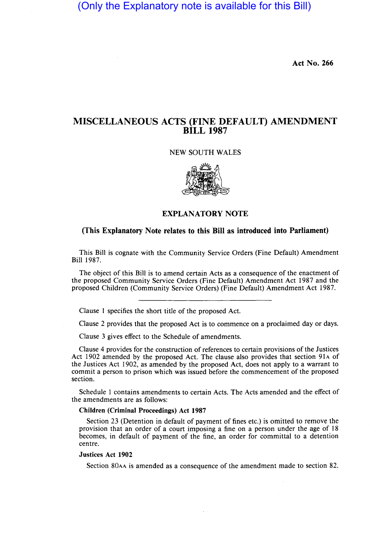(Only the Explanatory note is available for this Bill)

Act No. 266

# MISCELLANEOUS ACTS (FINE DEFAULT) AMENDMENT BILL 1987

#### NEW SOUTH WALES



### EXPLANATORY NOTE

### (This Explanatory Note relates to this Bill as introduced into Parliament)

This Bill is cognate with the Community Service Orders (Fine Default) Amendment Bill 1987.

The object of this Bill is to amend certain Acts as a consequence of the enactment of the proposed Community Service Orders (Fine Default) Amendment Act 1987 and the proposed Children (Community Service Orders) (Fine Default) Amendment Act 1987.

Clause 1 specifies the short title of the proposed Act.

Clause 2 provides that the proposed Act is to commence on a proclaimed day or days.

Clause 3 gives effect to the Schedule of amendments.

Clause 4 provides for the construction of references to certain provisions of the Justices Act 1902 amended by the proposed Act. The clause also provides that section 91A of the Justices Act 1902, as amended by the proposed Act, does not apply to a warrant to commit a person to prison which was issued before the commencement of the proposed section.

Schedule 1 contains amendments to certain Acts. The Acts amended and the effect of the amendments are as follows:

#### Children (Criminal Proceedings) Act 1987

Section 23 (Detention in default of payment of fines etc.) is omitted to remove the provision that an order of a court imposing a fine on a person under the age of 18 becomes, in default of payment of the fine, an order for committal to a detention centre.

#### Justices Act 1902

Section 80AA is amended as a consequence of the amendment made to section 82.